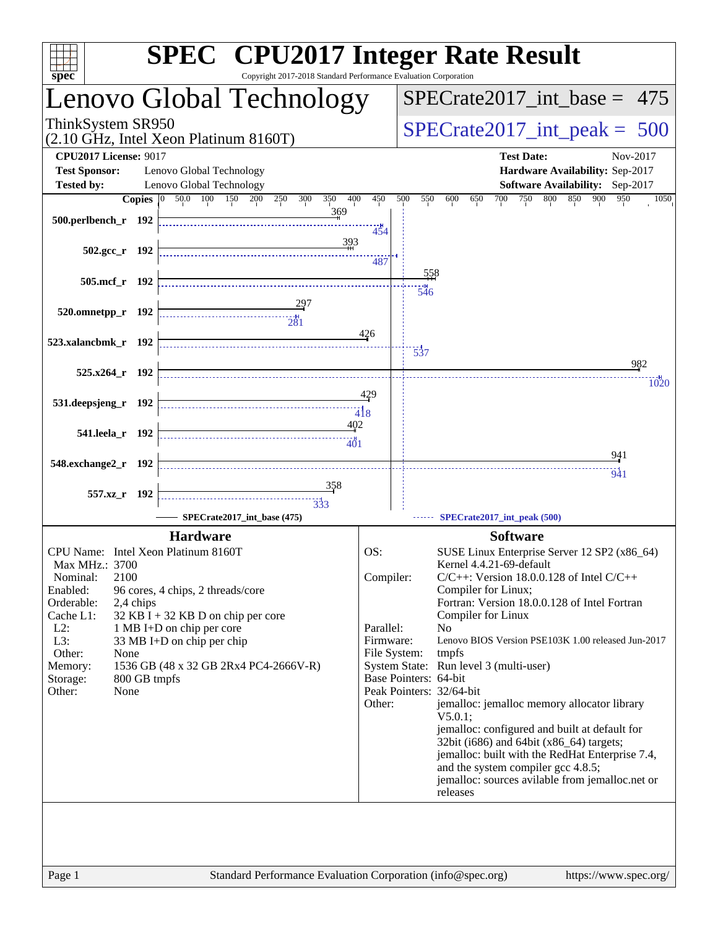| spec                                      | <b>SPEC<sup>®</sup></b> CPU2017 Integer Rate Result<br>Copyright 2017-2018 Standard Performance Evaluation Corporation |                                 |                                                                                             |
|-------------------------------------------|------------------------------------------------------------------------------------------------------------------------|---------------------------------|---------------------------------------------------------------------------------------------|
|                                           | enovo Global Technology                                                                                                |                                 | $SPECrate2017\_int\_base = 475$                                                             |
| ThinkSystem SR950                         | (2.10 GHz, Intel Xeon Platinum 8160T)                                                                                  | $SPECrate2017\_int\_peak = 500$ |                                                                                             |
| <b>CPU2017 License: 9017</b>              |                                                                                                                        |                                 | <b>Test Date:</b><br>Nov-2017                                                               |
| <b>Test Sponsor:</b>                      | Lenovo Global Technology                                                                                               |                                 | Hardware Availability: Sep-2017                                                             |
| <b>Tested by:</b>                         | Lenovo Global Technology                                                                                               |                                 | Software Availability: Sep-2017                                                             |
| Copies $ 0\rangle$<br>500.perlbench_r 192 | 50.0 100<br>350<br>400<br>150<br>200<br>250<br>300<br>369                                                              | 450<br>454                      | 500<br>550<br>600<br>650<br>700<br>750<br>800<br>850<br>900<br>950<br>1050                  |
| $502.\text{gcc r}$ 192                    | 393                                                                                                                    | 487                             |                                                                                             |
| 505.mcf r 192                             |                                                                                                                        |                                 | 558                                                                                         |
|                                           |                                                                                                                        |                                 | 546                                                                                         |
| 520.omnetpp_r 192                         | $\overbrace{281}$                                                                                                      |                                 |                                                                                             |
|                                           |                                                                                                                        |                                 |                                                                                             |
| 523.xalancbmk_r 192                       |                                                                                                                        | 426                             |                                                                                             |
|                                           |                                                                                                                        |                                 | $\frac{1}{537}$<br>982                                                                      |
| $525.x264$ r 192                          |                                                                                                                        |                                 |                                                                                             |
|                                           |                                                                                                                        | 429                             | 1020                                                                                        |
| 531.deepsjeng_r 192                       |                                                                                                                        |                                 |                                                                                             |
|                                           | 402                                                                                                                    | $\frac{1}{4}$ 8                 |                                                                                             |
| 541.leela_r 192                           | 401                                                                                                                    |                                 |                                                                                             |
|                                           |                                                                                                                        |                                 | 941                                                                                         |
| 548.exchange2_r 192                       |                                                                                                                        |                                 | 941                                                                                         |
|                                           | 358                                                                                                                    |                                 |                                                                                             |
| 557.xz_r 192                              | $\frac{1}{333}$                                                                                                        |                                 |                                                                                             |
|                                           | SPECrate2017_int_base (475)                                                                                            |                                 | SPECrate2017_int_peak (500)                                                                 |
|                                           | <b>Hardware</b>                                                                                                        |                                 | <b>Software</b>                                                                             |
| CPU Name: Intel Xeon Platinum 8160T       |                                                                                                                        | OS:                             | SUSE Linux Enterprise Server 12 SP2 (x86_64)                                                |
| Max MHz.: 3700                            |                                                                                                                        |                                 | Kernel 4.4.21-69-default                                                                    |
| 2100<br>Nominal:                          |                                                                                                                        | Compiler:                       | $C/C++$ : Version 18.0.0.128 of Intel $C/C++$                                               |
| Enabled:                                  | 96 cores, 4 chips, 2 threads/core                                                                                      |                                 | Compiler for Linux;                                                                         |
| Orderable:<br>2,4 chips<br>Cache L1:      | $32$ KB I + 32 KB D on chip per core                                                                                   |                                 | Fortran: Version 18.0.0.128 of Intel Fortran<br>Compiler for Linux                          |
| $L2$ :                                    | 1 MB I+D on chip per core                                                                                              | Parallel:                       | N <sub>o</sub>                                                                              |
| L3:                                       | 33 MB I+D on chip per chip                                                                                             | Firmware:                       | Lenovo BIOS Version PSE103K 1.00 released Jun-2017                                          |
| Other:<br>None                            |                                                                                                                        |                                 | File System:<br>tmpfs                                                                       |
| Memory:<br>800 GB tmpfs<br>Storage:       | 1536 GB (48 x 32 GB 2Rx4 PC4-2666V-R)                                                                                  |                                 | System State: Run level 3 (multi-user)<br>Base Pointers: 64-bit                             |
| Other:<br>None                            |                                                                                                                        |                                 | Peak Pointers: 32/64-bit                                                                    |
|                                           |                                                                                                                        | Other:                          | jemalloc: jemalloc memory allocator library<br>$V5.0.1$ :                                   |
|                                           |                                                                                                                        |                                 | jemalloc: configured and built at default for                                               |
|                                           |                                                                                                                        |                                 | 32bit (i686) and 64bit (x86_64) targets;<br>jemalloc: built with the RedHat Enterprise 7.4, |
|                                           |                                                                                                                        |                                 | and the system compiler gcc 4.8.5;                                                          |
|                                           |                                                                                                                        |                                 | jemalloc: sources avilable from jemalloc.net or                                             |
|                                           |                                                                                                                        |                                 | releases                                                                                    |
|                                           |                                                                                                                        |                                 |                                                                                             |
|                                           |                                                                                                                        |                                 |                                                                                             |
|                                           |                                                                                                                        |                                 |                                                                                             |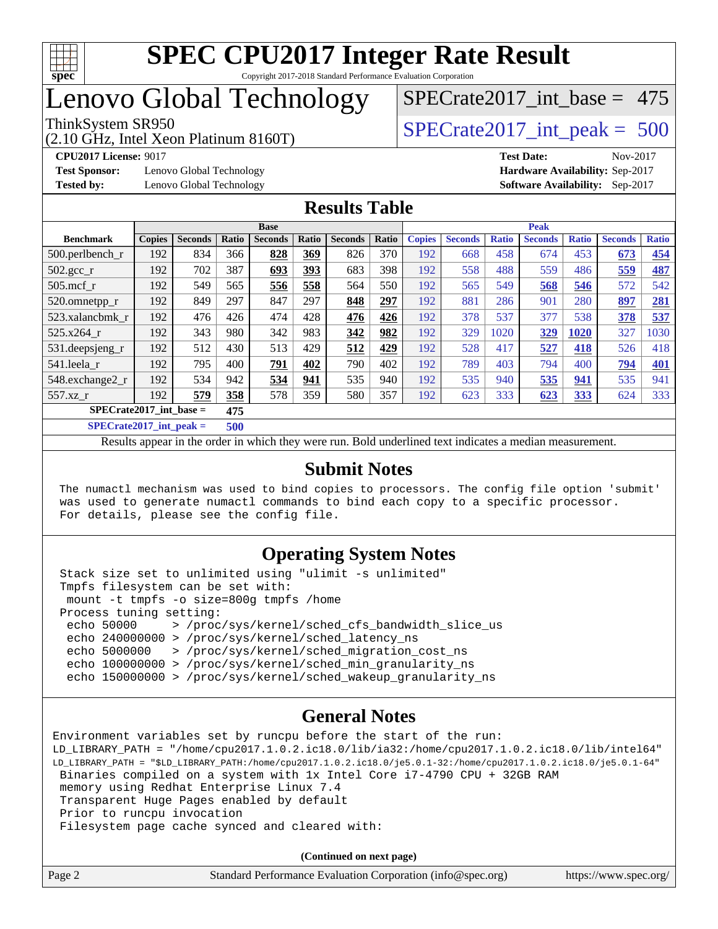

## Lenovo Global Technology

(2.10 GHz, Intel Xeon Platinum 8160T)

**[Test Sponsor:](http://www.spec.org/auto/cpu2017/Docs/result-fields.html#TestSponsor)** Lenovo Global Technology **[Hardware Availability:](http://www.spec.org/auto/cpu2017/Docs/result-fields.html#HardwareAvailability)** Sep-2017 **[Tested by:](http://www.spec.org/auto/cpu2017/Docs/result-fields.html#Testedby)** Lenovo Global Technology **[Software Availability:](http://www.spec.org/auto/cpu2017/Docs/result-fields.html#SoftwareAvailability)** Sep-2017

[SPECrate2017\\_int\\_base =](http://www.spec.org/auto/cpu2017/Docs/result-fields.html#SPECrate2017intbase) 475

ThinkSystem SR950<br>  $(2.10 \text{ GHz. Intel Yoon Plotinum } 8160 \text{T})$   $\text{SPECrate} 2017\_int\_peak = 500$ 

**[CPU2017 License:](http://www.spec.org/auto/cpu2017/Docs/result-fields.html#CPU2017License)** 9017 **[Test Date:](http://www.spec.org/auto/cpu2017/Docs/result-fields.html#TestDate)** Nov-2017

#### **[Results Table](http://www.spec.org/auto/cpu2017/Docs/result-fields.html#ResultsTable)**

|                                                                      | <b>Base</b>   |                |           |                |       | <b>Peak</b>    |       |               |                |              |                |              |                |              |
|----------------------------------------------------------------------|---------------|----------------|-----------|----------------|-------|----------------|-------|---------------|----------------|--------------|----------------|--------------|----------------|--------------|
| <b>Benchmark</b>                                                     | <b>Copies</b> | <b>Seconds</b> | Ratio     | <b>Seconds</b> | Ratio | <b>Seconds</b> | Ratio | <b>Copies</b> | <b>Seconds</b> | <b>Ratio</b> | <b>Seconds</b> | <b>Ratio</b> | <b>Seconds</b> | <b>Ratio</b> |
| $500.$ perlbench_r                                                   | 192           | 834            | 366       | 828            | 369   | 826            | 370   | 192           | 668            | 458          | 674            | 453          | 673            | 454          |
| $502.\text{gcc\_r}$                                                  | 192           | 702            | 387       | 693            | 393   | 683            | 398   | 192           | 558            | 488          | 559            | 486          | 559            | 487          |
| $505$ .mcf r                                                         | 192           | 549            | 565       | 556            | 558   | 564            | 550   | 192           | 565            | 549          | 568            | 546          | 572            | 542          |
| 520.omnetpp_r                                                        | 192           | 849            | 297       | 847            | 297   | 848            | 297   | 192           | 881            | 286          | 901            | 280          | 897            | <b>281</b>   |
| 523.xalancbmk_r                                                      | 192           | 476            | 426       | 474            | 428   | 476            | 426   | 192           | 378            | 537          | 377            | 538          | 378            | 537          |
| 525.x264 r                                                           | 192           | 343            | 980       | 342            | 983   | 342            | 982   | 192           | 329            | 1020         | 329            | 1020         | 327            | 1030         |
| 531.deepsjeng_r                                                      | 192           | 512            | 430       | 513            | 429   | 512            | 429   | 192           | 528            | 417          | 527            | 418          | 526            | 418          |
| 541.leela r                                                          | 192           | 795            | 400       | 791            | 402   | 790            | 402   | 192           | 789            | 403          | 794            | 400          | 794            | 401          |
| 548.exchange2_r                                                      | 192           | 534            | 942       | 534            | 941   | 535            | 940   | 192           | 535            | 940          | 535            | 941          | 535            | 941          |
| 557.xz r                                                             | 192           | 579            | 358       | 578            | 359   | 580            | 357   | 192           | 623            | 333          | 623            | <u>333</u>   | 624            | 333          |
| $SPECrate2017$ int base =                                            |               |                | 475       |                |       |                |       |               |                |              |                |              |                |              |
| $CDFC_{\text{mod}}(2017 \text{ in } \epsilon \text{ mod } \epsilon)$ |               |                | $F\Omega$ |                |       |                |       |               |                |              |                |              |                |              |

**[SPECrate2017\\_int\\_peak =](http://www.spec.org/auto/cpu2017/Docs/result-fields.html#SPECrate2017intpeak) 500**

Results appear in the [order in which they were run](http://www.spec.org/auto/cpu2017/Docs/result-fields.html#RunOrder). Bold underlined text [indicates a median measurement](http://www.spec.org/auto/cpu2017/Docs/result-fields.html#Median).

#### **[Submit Notes](http://www.spec.org/auto/cpu2017/Docs/result-fields.html#SubmitNotes)**

 The numactl mechanism was used to bind copies to processors. The config file option 'submit' was used to generate numactl commands to bind each copy to a specific processor. For details, please see the config file.

#### **[Operating System Notes](http://www.spec.org/auto/cpu2017/Docs/result-fields.html#OperatingSystemNotes)**

 Stack size set to unlimited using "ulimit -s unlimited" Tmpfs filesystem can be set with: mount -t tmpfs -o size=800g tmpfs /home Process tuning setting: echo 50000 > /proc/sys/kernel/sched\_cfs\_bandwidth\_slice\_us echo 240000000 > /proc/sys/kernel/sched\_latency\_ns echo 5000000 > /proc/sys/kernel/sched\_migration\_cost\_ns echo 100000000 > /proc/sys/kernel/sched\_min\_granularity\_ns echo 150000000 > /proc/sys/kernel/sched\_wakeup\_granularity\_ns

#### **[General Notes](http://www.spec.org/auto/cpu2017/Docs/result-fields.html#GeneralNotes)**

Environment variables set by runcpu before the start of the run: LD\_LIBRARY\_PATH = "/home/cpu2017.1.0.2.ic18.0/lib/ia32:/home/cpu2017.1.0.2.ic18.0/lib/intel64" LD\_LIBRARY\_PATH = "\$LD\_LIBRARY\_PATH:/home/cpu2017.1.0.2.ic18.0/je5.0.1-32:/home/cpu2017.1.0.2.ic18.0/je5.0.1-64" Binaries compiled on a system with 1x Intel Core i7-4790 CPU + 32GB RAM memory using Redhat Enterprise Linux 7.4 Transparent Huge Pages enabled by default Prior to runcpu invocation Filesystem page cache synced and cleared with:

**(Continued on next page)**

| Page 2 | Standard Performance Evaluation Corporation (info@spec.org) | https://www.spec.org/ |
|--------|-------------------------------------------------------------|-----------------------|
|--------|-------------------------------------------------------------|-----------------------|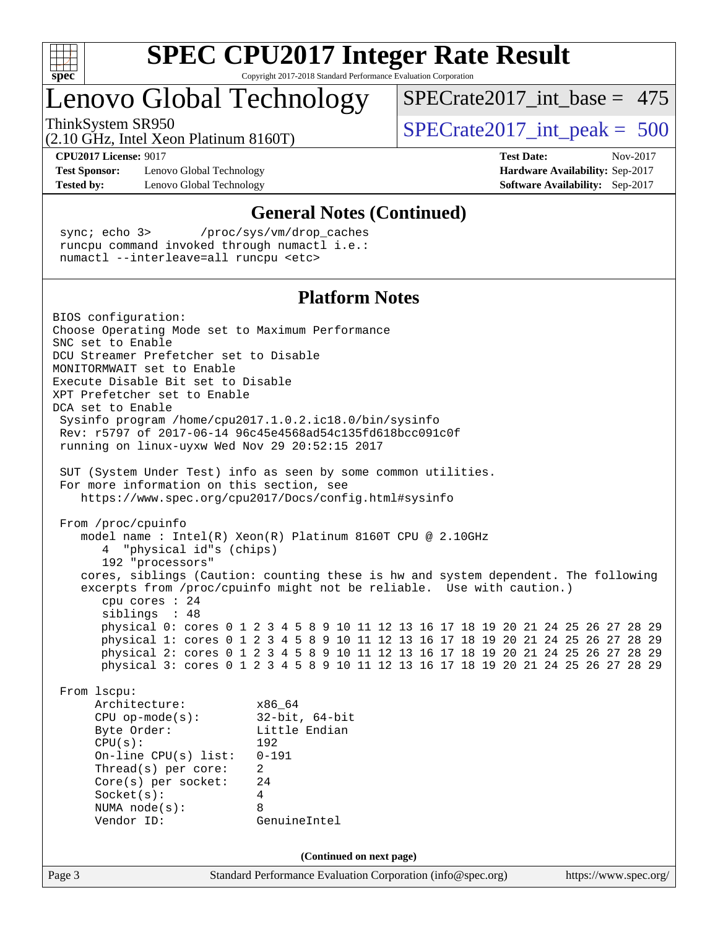

# **[SPEC CPU2017 Integer Rate Result](http://www.spec.org/auto/cpu2017/Docs/result-fields.html#SPECCPU2017IntegerRateResult)**

Copyright 2017-2018 Standard Performance Evaluation Corporation

## Lenovo Global Technology

 $SPECrate2017\_int\_base = 475$ 

(2.10 GHz, Intel Xeon Platinum 8160T)

ThinkSystem SR950<br>  $(2.10 \text{ GHz. Intel Yoon Plutium } 8160 \text{T})$   $\text{SPECrate} 2017\_int\_peak = 500$ 

**[Test Sponsor:](http://www.spec.org/auto/cpu2017/Docs/result-fields.html#TestSponsor)** Lenovo Global Technology **[Hardware Availability:](http://www.spec.org/auto/cpu2017/Docs/result-fields.html#HardwareAvailability)** Sep-2017 **[Tested by:](http://www.spec.org/auto/cpu2017/Docs/result-fields.html#Testedby)** Lenovo Global Technology **[Software Availability:](http://www.spec.org/auto/cpu2017/Docs/result-fields.html#SoftwareAvailability)** Sep-2017

**[CPU2017 License:](http://www.spec.org/auto/cpu2017/Docs/result-fields.html#CPU2017License)** 9017 **[Test Date:](http://www.spec.org/auto/cpu2017/Docs/result-fields.html#TestDate)** Nov-2017

#### **[General Notes \(Continued\)](http://www.spec.org/auto/cpu2017/Docs/result-fields.html#GeneralNotes)**

 sync; echo 3> /proc/sys/vm/drop\_caches runcpu command invoked through numactl i.e.: numactl --interleave=all runcpu <etc>

#### **[Platform Notes](http://www.spec.org/auto/cpu2017/Docs/result-fields.html#PlatformNotes)**

Page 3 Standard Performance Evaluation Corporation [\(info@spec.org\)](mailto:info@spec.org) <https://www.spec.org/> BIOS configuration: Choose Operating Mode set to Maximum Performance SNC set to Enable DCU Streamer Prefetcher set to Disable MONITORMWAIT set to Enable Execute Disable Bit set to Disable XPT Prefetcher set to Enable DCA set to Enable Sysinfo program /home/cpu2017.1.0.2.ic18.0/bin/sysinfo Rev: r5797 of 2017-06-14 96c45e4568ad54c135fd618bcc091c0f running on linux-uyxw Wed Nov 29 20:52:15 2017 SUT (System Under Test) info as seen by some common utilities. For more information on this section, see <https://www.spec.org/cpu2017/Docs/config.html#sysinfo> From /proc/cpuinfo model name : Intel(R) Xeon(R) Platinum 8160T CPU @ 2.10GHz 4 "physical id"s (chips) 192 "processors" cores, siblings (Caution: counting these is hw and system dependent. The following excerpts from /proc/cpuinfo might not be reliable. Use with caution.) cpu cores : 24 siblings : 48 physical 0: cores 0 1 2 3 4 5 8 9 10 11 12 13 16 17 18 19 20 21 24 25 26 27 28 29 physical 1: cores 0 1 2 3 4 5 8 9 10 11 12 13 16 17 18 19 20 21 24 25 26 27 28 29 physical 2: cores 0 1 2 3 4 5 8 9 10 11 12 13 16 17 18 19 20 21 24 25 26 27 28 29 physical 3: cores 0 1 2 3 4 5 8 9 10 11 12 13 16 17 18 19 20 21 24 25 26 27 28 29 From lscpu: Architecture: x86\_64 CPU op-mode(s): 32-bit, 64-bit Byte Order: Little Endian CPU(s): 192 On-line CPU(s) list: 0-191 Thread(s) per core: 2 Core(s) per socket: 24 Socket(s): 4 NUMA node(s): 8 Vendor ID: GenuineIntel **(Continued on next page)**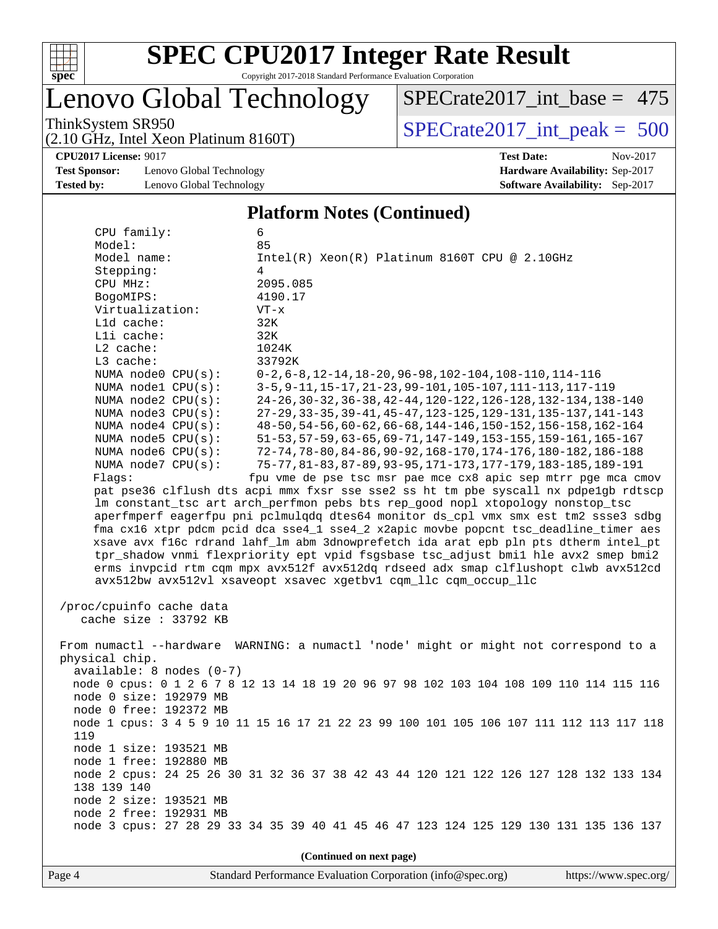

## Lenovo Global Technology

ThinkSystem SR950<br>  $(2.10 \text{ GHz. Intel Yoon Plotinum } 8160 \text{T})$   $\text{SPECrate} 2017\_int\_peak = 500$  $SPECrate2017\_int\_base = 475$ 

(2.10 GHz, Intel Xeon Platinum 8160T)

**[CPU2017 License:](http://www.spec.org/auto/cpu2017/Docs/result-fields.html#CPU2017License)** 9017 **[Test Date:](http://www.spec.org/auto/cpu2017/Docs/result-fields.html#TestDate)** Nov-2017 **[Test Sponsor:](http://www.spec.org/auto/cpu2017/Docs/result-fields.html#TestSponsor)** Lenovo Global Technology **[Hardware Availability:](http://www.spec.org/auto/cpu2017/Docs/result-fields.html#HardwareAvailability)** Sep-2017

**[Tested by:](http://www.spec.org/auto/cpu2017/Docs/result-fields.html#Testedby)** Lenovo Global Technology **[Software Availability:](http://www.spec.org/auto/cpu2017/Docs/result-fields.html#SoftwareAvailability)** Sep-2017

#### **[Platform Notes \(Continued\)](http://www.spec.org/auto/cpu2017/Docs/result-fields.html#PlatformNotes)**

 CPU family: 6 Model: 85 Model name: Intel(R) Xeon(R) Platinum 8160T CPU @ 2.10GHz Stepping: 4 CPU MHz: 2095.085 BogoMIPS: 4190.17 Virtualization: VT-x L1d cache: 32K L1i cache: 32K L2 cache: 1024K L3 cache: 33792K NUMA node0 CPU(s): 0-2,6-8,12-14,18-20,96-98,102-104,108-110,114-116 NUMA node1 CPU(s): 3-5,9-11,15-17,21-23,99-101,105-107,111-113,117-119 NUMA node2 CPU(s): 24-26,30-32,36-38,42-44,120-122,126-128,132-134,138-140 NUMA node3 CPU(s): 27-29,33-35,39-41,45-47,123-125,129-131,135-137,141-143 NUMA node4 CPU(s): 48-50,54-56,60-62,66-68,144-146,150-152,156-158,162-164 NUMA node5 CPU(s): 51-53,57-59,63-65,69-71,147-149,153-155,159-161,165-167 NUMA node6 CPU(s): 72-74,78-80,84-86,90-92,168-170,174-176,180-182,186-188 NUMA node7 CPU(s): 75-77,81-83,87-89,93-95,171-173,177-179,183-185,189-191 Flags: fpu vme de pse tsc msr pae mce cx8 apic sep mtrr pge mca cmov pat pse36 clflush dts acpi mmx fxsr sse sse2 ss ht tm pbe syscall nx pdpe1gb rdtscp lm constant\_tsc art arch\_perfmon pebs bts rep\_good nopl xtopology nonstop\_tsc aperfmperf eagerfpu pni pclmulqdq dtes64 monitor ds\_cpl vmx smx est tm2 ssse3 sdbg fma cx16 xtpr pdcm pcid dca sse4\_1 sse4\_2 x2apic movbe popcnt tsc\_deadline\_timer aes xsave avx f16c rdrand lahf\_lm abm 3dnowprefetch ida arat epb pln pts dtherm intel\_pt tpr\_shadow vnmi flexpriority ept vpid fsgsbase tsc\_adjust bmi1 hle avx2 smep bmi2 erms invpcid rtm cqm mpx avx512f avx512dq rdseed adx smap clflushopt clwb avx512cd avx512bw avx512vl xsaveopt xsavec xgetbv1 cqm\_llc cqm\_occup\_llc /proc/cpuinfo cache data cache size : 33792 KB From numactl --hardware WARNING: a numactl 'node' might or might not correspond to a physical chip. available: 8 nodes (0-7) node 0 cpus: 0 1 2 6 7 8 12 13 14 18 19 20 96 97 98 102 103 104 108 109 110 114 115 116 node 0 size: 192979 MB node 0 free: 192372 MB node 1 cpus: 3 4 5 9 10 11 15 16 17 21 22 23 99 100 101 105 106 107 111 112 113 117 118 119 node 1 size: 193521 MB node 1 free: 192880 MB node 2 cpus: 24 25 26 30 31 32 36 37 38 42 43 44 120 121 122 126 127 128 132 133 134 138 139 140 node 2 size: 193521 MB node 2 free: 192931 MB node 3 cpus: 27 28 29 33 34 35 39 40 41 45 46 47 123 124 125 129 130 131 135 136 137

**(Continued on next page)**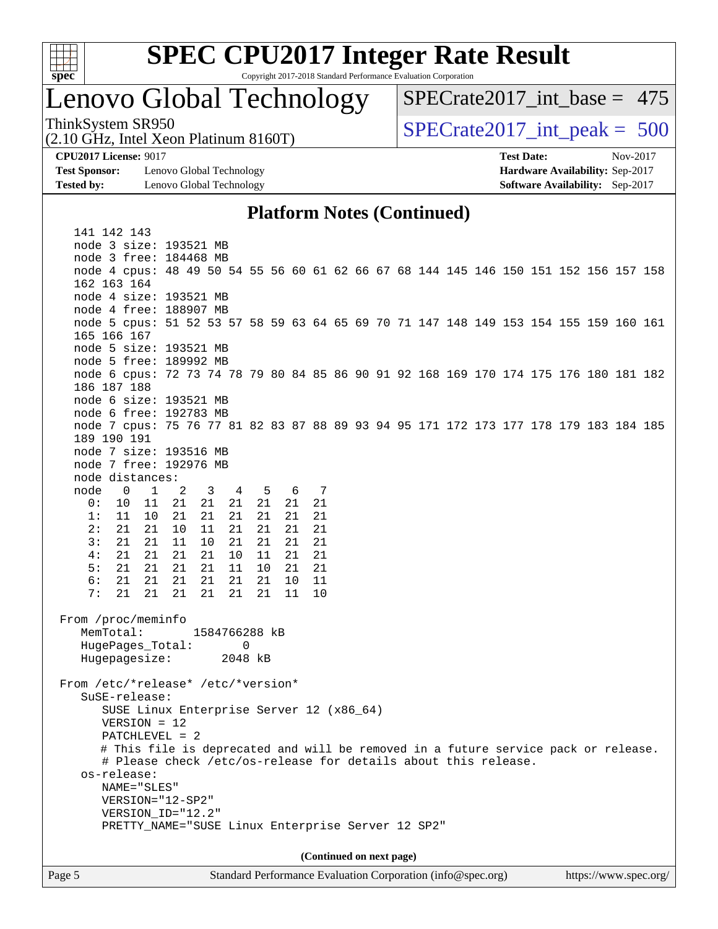

# **[SPEC CPU2017 Integer Rate Result](http://www.spec.org/auto/cpu2017/Docs/result-fields.html#SPECCPU2017IntegerRateResult)**

Copyright 2017-2018 Standard Performance Evaluation Corporation

## Lenovo Global Technology

ThinkSystem SR950<br>  $(2.10 \text{ GHz. Intel Yoon Plotinum } 8160 \text{T})$   $\text{SPECrate} 2017\_int\_peak = 500$  $SPECrate2017\_int\_base = 475$ 

(2.10 GHz, Intel Xeon Platinum 8160T)

**[Test Sponsor:](http://www.spec.org/auto/cpu2017/Docs/result-fields.html#TestSponsor)** Lenovo Global Technology **[Hardware Availability:](http://www.spec.org/auto/cpu2017/Docs/result-fields.html#HardwareAvailability)** Sep-2017 **[Tested by:](http://www.spec.org/auto/cpu2017/Docs/result-fields.html#Testedby)** Lenovo Global Technology **[Software Availability:](http://www.spec.org/auto/cpu2017/Docs/result-fields.html#SoftwareAvailability)** Sep-2017

**[CPU2017 License:](http://www.spec.org/auto/cpu2017/Docs/result-fields.html#CPU2017License)** 9017 **[Test Date:](http://www.spec.org/auto/cpu2017/Docs/result-fields.html#TestDate)** Nov-2017

#### **[Platform Notes \(Continued\)](http://www.spec.org/auto/cpu2017/Docs/result-fields.html#PlatformNotes)**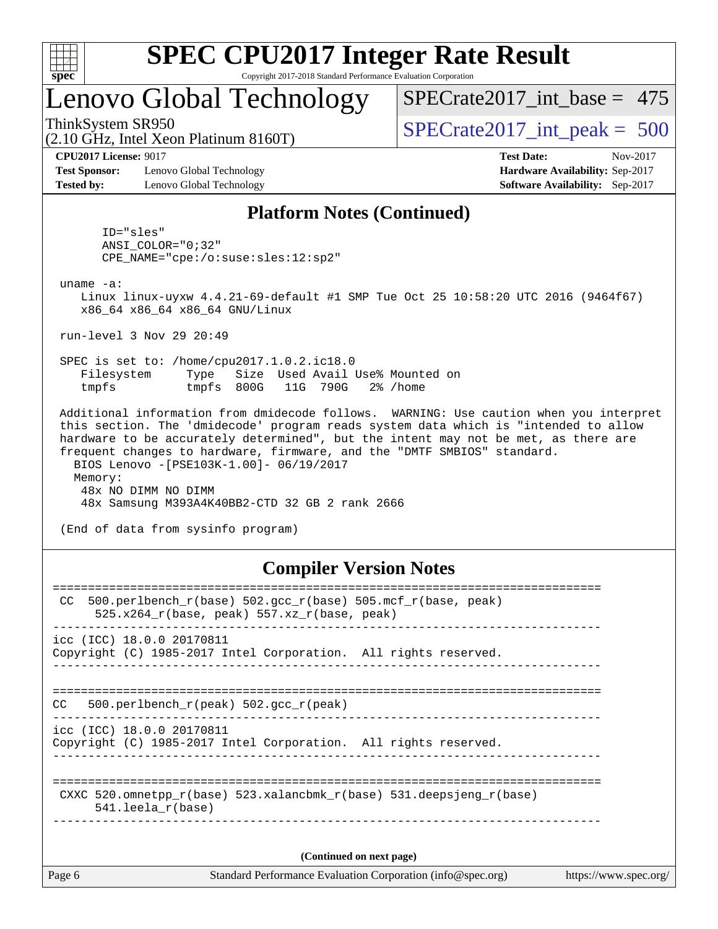

## Lenovo Global Technology

[SPECrate2017\\_int\\_base =](http://www.spec.org/auto/cpu2017/Docs/result-fields.html#SPECrate2017intbase) 475

(2.10 GHz, Intel Xeon Platinum 8160T)

ThinkSystem SR950<br>  $(2.10 \text{ GHz})$  Intel Xeon Platinum 8160T)  $\qquad$  [SPECrate2017\\_int\\_peak =](http://www.spec.org/auto/cpu2017/Docs/result-fields.html#SPECrate2017intpeak) 500

**[CPU2017 License:](http://www.spec.org/auto/cpu2017/Docs/result-fields.html#CPU2017License)** 9017 **[Test Date:](http://www.spec.org/auto/cpu2017/Docs/result-fields.html#TestDate)** Nov-2017

**[Test Sponsor:](http://www.spec.org/auto/cpu2017/Docs/result-fields.html#TestSponsor)** Lenovo Global Technology **[Hardware Availability:](http://www.spec.org/auto/cpu2017/Docs/result-fields.html#HardwareAvailability)** Sep-2017 **[Tested by:](http://www.spec.org/auto/cpu2017/Docs/result-fields.html#Testedby)** Lenovo Global Technology **[Software Availability:](http://www.spec.org/auto/cpu2017/Docs/result-fields.html#SoftwareAvailability)** Sep-2017

#### **[Platform Notes \(Continued\)](http://www.spec.org/auto/cpu2017/Docs/result-fields.html#PlatformNotes)**

 ID="sles" ANSI\_COLOR="0;32" CPE\_NAME="cpe:/o:suse:sles:12:sp2"

uname -a:

 Linux linux-uyxw 4.4.21-69-default #1 SMP Tue Oct 25 10:58:20 UTC 2016 (9464f67) x86\_64 x86\_64 x86\_64 GNU/Linux

run-level 3 Nov 29 20:49

 SPEC is set to: /home/cpu2017.1.0.2.ic18.0 Filesystem Type Size Used Avail Use% Mounted on tmpfs tmpfs 800G 11G 790G 2% /home

 Additional information from dmidecode follows. WARNING: Use caution when you interpret this section. The 'dmidecode' program reads system data which is "intended to allow hardware to be accurately determined", but the intent may not be met, as there are frequent changes to hardware, firmware, and the "DMTF SMBIOS" standard. BIOS Lenovo -[PSE103K-1.00]- 06/19/2017 Memory: 48x NO DIMM NO DIMM 48x Samsung M393A4K40BB2-CTD 32 GB 2 rank 2666

(End of data from sysinfo program)

#### **[Compiler Version Notes](http://www.spec.org/auto/cpu2017/Docs/result-fields.html#CompilerVersionNotes)**

| Page 6 | Standard Performance Evaluation Corporation (info@spec.org)<br>https://www.spec.org/                                 |
|--------|----------------------------------------------------------------------------------------------------------------------|
|        | (Continued on next page)                                                                                             |
|        | CXXC 520.omnetpp $r(base)$ 523.xalancbmk $r(base)$ 531.deepsjeng $r(base)$<br>$541.$ leela r(base)                   |
|        | icc (ICC) 18.0.0 20170811<br>Copyright (C) 1985-2017 Intel Corporation. All rights reserved.                         |
| CC.    | 500.perlbench $r(\text{peak})$ 502.gcc $r(\text{peak})$                                                              |
|        | icc (ICC) 18.0.0 20170811<br>Copyright (C) 1985-2017 Intel Corporation. All rights reserved.                         |
| CC.    | 500.perlbench $r(base)$ 502.qcc $r(base)$ 505.mcf $r(base, peak)$<br>525.x264 $r(base, peak)$ 557.xz $r(base, peak)$ |
|        |                                                                                                                      |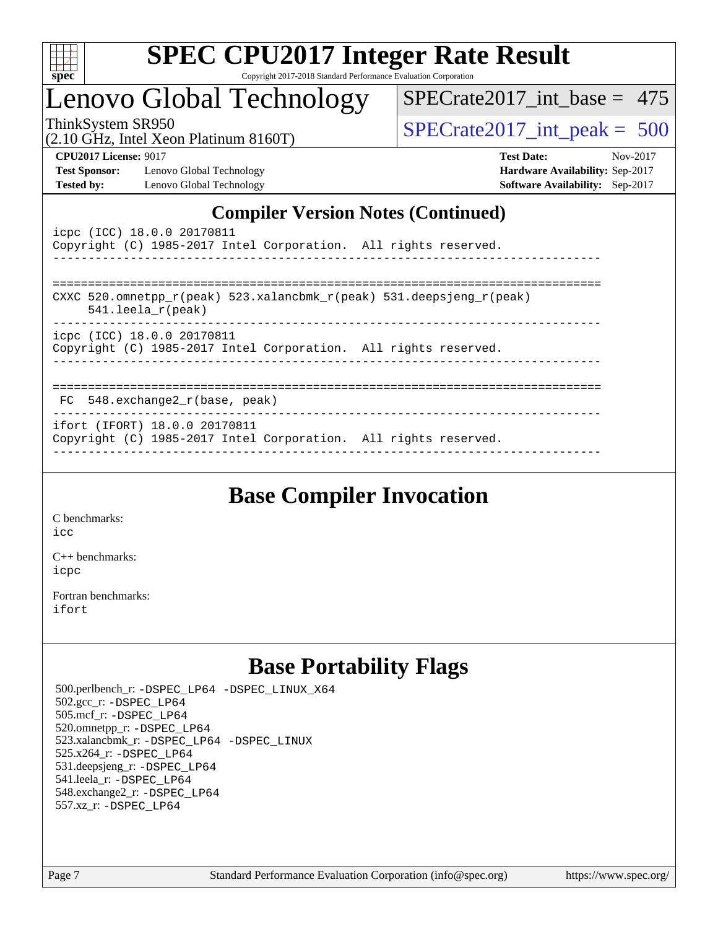

# **[SPEC CPU2017 Integer Rate Result](http://www.spec.org/auto/cpu2017/Docs/result-fields.html#SPECCPU2017IntegerRateResult)**

Copyright 2017-2018 Standard Performance Evaluation Corporation

## Lenovo Global Technology

ThinkSystem SR950<br>(2.10 GHz, Intel Xeon Platinum 8160T)  $\begin{array}{r} | \text{SPECrate2017\_int\_peak} = 500 \end{array}$ [SPECrate2017\\_int\\_base =](http://www.spec.org/auto/cpu2017/Docs/result-fields.html#SPECrate2017intbase) 475

(2.10 GHz, Intel Xeon Platinum 8160T)

**[Test Sponsor:](http://www.spec.org/auto/cpu2017/Docs/result-fields.html#TestSponsor)** Lenovo Global Technology **[Hardware Availability:](http://www.spec.org/auto/cpu2017/Docs/result-fields.html#HardwareAvailability)** Sep-2017 **[Tested by:](http://www.spec.org/auto/cpu2017/Docs/result-fields.html#Testedby)** Lenovo Global Technology **[Software Availability:](http://www.spec.org/auto/cpu2017/Docs/result-fields.html#SoftwareAvailability)** Sep-2017

**[CPU2017 License:](http://www.spec.org/auto/cpu2017/Docs/result-fields.html#CPU2017License)** 9017 **[Test Date:](http://www.spec.org/auto/cpu2017/Docs/result-fields.html#TestDate)** Nov-2017

#### **[Compiler Version Notes \(Continued\)](http://www.spec.org/auto/cpu2017/Docs/result-fields.html#CompilerVersionNotes)**

| icpc (ICC) 18.0.0 20170811<br>Copyright (C) 1985-2017 Intel Corporation. All rights reserved.                           |
|-------------------------------------------------------------------------------------------------------------------------|
| CXXC 520.omnetpp $r(\text{peak})$ 523.xalancbmk $r(\text{peak})$ 531.deepsjeng $r(\text{peak})$<br>$541.$ leela r(peak) |
| icpc (ICC) 18.0.0 20170811<br>Copyright (C) 1985-2017 Intel Corporation. All rights reserved.                           |
| FC 548.exchange2 r(base, peak)                                                                                          |
| ifort (IFORT) 18.0.0 20170811<br>Copyright (C) 1985-2017 Intel Corporation. All rights reserved.                        |

## **[Base Compiler Invocation](http://www.spec.org/auto/cpu2017/Docs/result-fields.html#BaseCompilerInvocation)**

[C benchmarks](http://www.spec.org/auto/cpu2017/Docs/result-fields.html#Cbenchmarks): [icc](http://www.spec.org/cpu2017/results/res2017q4/cpu2017-20171212-01740.flags.html#user_CCbase_intel_icc_18.0_66fc1ee009f7361af1fbd72ca7dcefbb700085f36577c54f309893dd4ec40d12360134090235512931783d35fd58c0460139e722d5067c5574d8eaf2b3e37e92)

[C++ benchmarks:](http://www.spec.org/auto/cpu2017/Docs/result-fields.html#CXXbenchmarks) [icpc](http://www.spec.org/cpu2017/results/res2017q4/cpu2017-20171212-01740.flags.html#user_CXXbase_intel_icpc_18.0_c510b6838c7f56d33e37e94d029a35b4a7bccf4766a728ee175e80a419847e808290a9b78be685c44ab727ea267ec2f070ec5dc83b407c0218cded6866a35d07)

[Fortran benchmarks](http://www.spec.org/auto/cpu2017/Docs/result-fields.html#Fortranbenchmarks): [ifort](http://www.spec.org/cpu2017/results/res2017q4/cpu2017-20171212-01740.flags.html#user_FCbase_intel_ifort_18.0_8111460550e3ca792625aed983ce982f94888b8b503583aa7ba2b8303487b4d8a21a13e7191a45c5fd58ff318f48f9492884d4413fa793fd88dd292cad7027ca)

## **[Base Portability Flags](http://www.spec.org/auto/cpu2017/Docs/result-fields.html#BasePortabilityFlags)**

 500.perlbench\_r: [-DSPEC\\_LP64](http://www.spec.org/cpu2017/results/res2017q4/cpu2017-20171212-01740.flags.html#b500.perlbench_r_basePORTABILITY_DSPEC_LP64) [-DSPEC\\_LINUX\\_X64](http://www.spec.org/cpu2017/results/res2017q4/cpu2017-20171212-01740.flags.html#b500.perlbench_r_baseCPORTABILITY_DSPEC_LINUX_X64) 502.gcc\_r: [-DSPEC\\_LP64](http://www.spec.org/cpu2017/results/res2017q4/cpu2017-20171212-01740.flags.html#suite_basePORTABILITY502_gcc_r_DSPEC_LP64) 505.mcf\_r: [-DSPEC\\_LP64](http://www.spec.org/cpu2017/results/res2017q4/cpu2017-20171212-01740.flags.html#suite_basePORTABILITY505_mcf_r_DSPEC_LP64) 520.omnetpp\_r: [-DSPEC\\_LP64](http://www.spec.org/cpu2017/results/res2017q4/cpu2017-20171212-01740.flags.html#suite_basePORTABILITY520_omnetpp_r_DSPEC_LP64) 523.xalancbmk\_r: [-DSPEC\\_LP64](http://www.spec.org/cpu2017/results/res2017q4/cpu2017-20171212-01740.flags.html#suite_basePORTABILITY523_xalancbmk_r_DSPEC_LP64) [-DSPEC\\_LINUX](http://www.spec.org/cpu2017/results/res2017q4/cpu2017-20171212-01740.flags.html#b523.xalancbmk_r_baseCXXPORTABILITY_DSPEC_LINUX) 525.x264\_r: [-DSPEC\\_LP64](http://www.spec.org/cpu2017/results/res2017q4/cpu2017-20171212-01740.flags.html#suite_basePORTABILITY525_x264_r_DSPEC_LP64) 531.deepsjeng\_r: [-DSPEC\\_LP64](http://www.spec.org/cpu2017/results/res2017q4/cpu2017-20171212-01740.flags.html#suite_basePORTABILITY531_deepsjeng_r_DSPEC_LP64) 541.leela\_r: [-DSPEC\\_LP64](http://www.spec.org/cpu2017/results/res2017q4/cpu2017-20171212-01740.flags.html#suite_basePORTABILITY541_leela_r_DSPEC_LP64) 548.exchange2\_r: [-DSPEC\\_LP64](http://www.spec.org/cpu2017/results/res2017q4/cpu2017-20171212-01740.flags.html#suite_basePORTABILITY548_exchange2_r_DSPEC_LP64) 557.xz\_r: [-DSPEC\\_LP64](http://www.spec.org/cpu2017/results/res2017q4/cpu2017-20171212-01740.flags.html#suite_basePORTABILITY557_xz_r_DSPEC_LP64)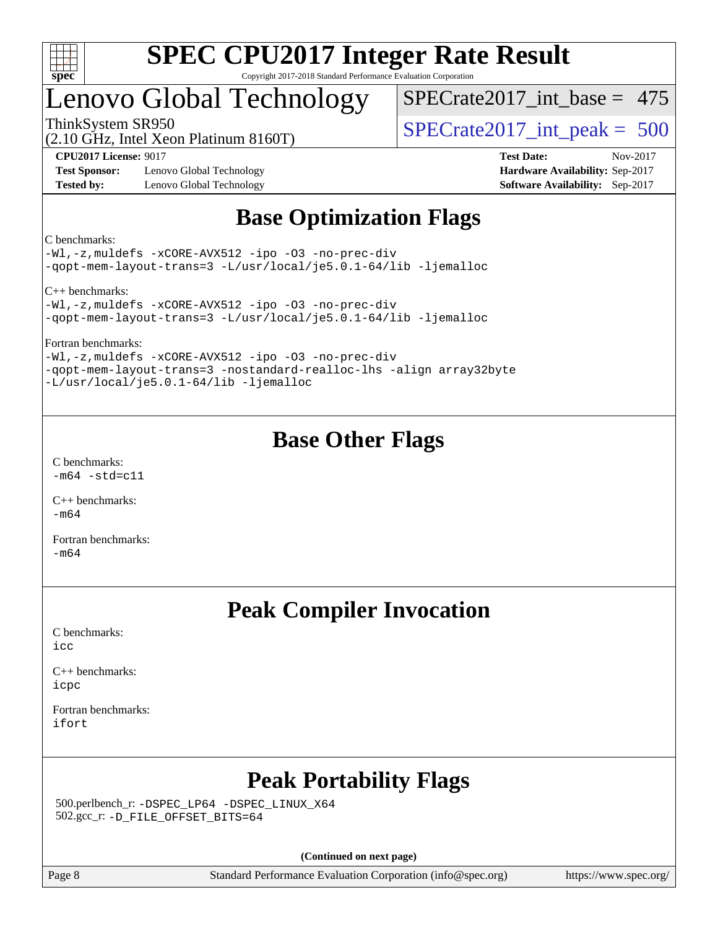

## Lenovo Global Technology

[SPECrate2017\\_int\\_base =](http://www.spec.org/auto/cpu2017/Docs/result-fields.html#SPECrate2017intbase) 475

(2.10 GHz, Intel Xeon Platinum 8160T)

ThinkSystem SR950<br>(2.10 GHz, Intel Xeon Platinum 8160T)  $\begin{array}{r} | \text{SPECrate2017\_int\_peak} = 500 \end{array}$ 

**[Test Sponsor:](http://www.spec.org/auto/cpu2017/Docs/result-fields.html#TestSponsor)** Lenovo Global Technology **[Hardware Availability:](http://www.spec.org/auto/cpu2017/Docs/result-fields.html#HardwareAvailability)** Sep-2017 **[Tested by:](http://www.spec.org/auto/cpu2017/Docs/result-fields.html#Testedby)** Lenovo Global Technology **[Software Availability:](http://www.spec.org/auto/cpu2017/Docs/result-fields.html#SoftwareAvailability)** Sep-2017

**[CPU2017 License:](http://www.spec.org/auto/cpu2017/Docs/result-fields.html#CPU2017License)** 9017 **[Test Date:](http://www.spec.org/auto/cpu2017/Docs/result-fields.html#TestDate)** Nov-2017

## **[Base Optimization Flags](http://www.spec.org/auto/cpu2017/Docs/result-fields.html#BaseOptimizationFlags)**

[C benchmarks:](http://www.spec.org/auto/cpu2017/Docs/result-fields.html#Cbenchmarks)

[-Wl,-z,muldefs](http://www.spec.org/cpu2017/results/res2017q4/cpu2017-20171212-01740.flags.html#user_CCbase_link_force_multiple1_b4cbdb97b34bdee9ceefcfe54f4c8ea74255f0b02a4b23e853cdb0e18eb4525ac79b5a88067c842dd0ee6996c24547a27a4b99331201badda8798ef8a743f577) [-xCORE-AVX512](http://www.spec.org/cpu2017/results/res2017q4/cpu2017-20171212-01740.flags.html#user_CCbase_f-xCORE-AVX512) [-ipo](http://www.spec.org/cpu2017/results/res2017q4/cpu2017-20171212-01740.flags.html#user_CCbase_f-ipo) [-O3](http://www.spec.org/cpu2017/results/res2017q4/cpu2017-20171212-01740.flags.html#user_CCbase_f-O3) [-no-prec-div](http://www.spec.org/cpu2017/results/res2017q4/cpu2017-20171212-01740.flags.html#user_CCbase_f-no-prec-div) [-qopt-mem-layout-trans=3](http://www.spec.org/cpu2017/results/res2017q4/cpu2017-20171212-01740.flags.html#user_CCbase_f-qopt-mem-layout-trans_de80db37974c74b1f0e20d883f0b675c88c3b01e9d123adea9b28688d64333345fb62bc4a798493513fdb68f60282f9a726aa07f478b2f7113531aecce732043) [-L/usr/local/je5.0.1-64/lib](http://www.spec.org/cpu2017/results/res2017q4/cpu2017-20171212-01740.flags.html#user_CCbase_jemalloc_link_path64_4b10a636b7bce113509b17f3bd0d6226c5fb2346b9178c2d0232c14f04ab830f976640479e5c33dc2bcbbdad86ecfb6634cbbd4418746f06f368b512fced5394) [-ljemalloc](http://www.spec.org/cpu2017/results/res2017q4/cpu2017-20171212-01740.flags.html#user_CCbase_jemalloc_link_lib_d1249b907c500fa1c0672f44f562e3d0f79738ae9e3c4a9c376d49f265a04b9c99b167ecedbf6711b3085be911c67ff61f150a17b3472be731631ba4d0471706)

[C++ benchmarks](http://www.spec.org/auto/cpu2017/Docs/result-fields.html#CXXbenchmarks):

[-Wl,-z,muldefs](http://www.spec.org/cpu2017/results/res2017q4/cpu2017-20171212-01740.flags.html#user_CXXbase_link_force_multiple1_b4cbdb97b34bdee9ceefcfe54f4c8ea74255f0b02a4b23e853cdb0e18eb4525ac79b5a88067c842dd0ee6996c24547a27a4b99331201badda8798ef8a743f577) [-xCORE-AVX512](http://www.spec.org/cpu2017/results/res2017q4/cpu2017-20171212-01740.flags.html#user_CXXbase_f-xCORE-AVX512) [-ipo](http://www.spec.org/cpu2017/results/res2017q4/cpu2017-20171212-01740.flags.html#user_CXXbase_f-ipo) [-O3](http://www.spec.org/cpu2017/results/res2017q4/cpu2017-20171212-01740.flags.html#user_CXXbase_f-O3) [-no-prec-div](http://www.spec.org/cpu2017/results/res2017q4/cpu2017-20171212-01740.flags.html#user_CXXbase_f-no-prec-div) [-qopt-mem-layout-trans=3](http://www.spec.org/cpu2017/results/res2017q4/cpu2017-20171212-01740.flags.html#user_CXXbase_f-qopt-mem-layout-trans_de80db37974c74b1f0e20d883f0b675c88c3b01e9d123adea9b28688d64333345fb62bc4a798493513fdb68f60282f9a726aa07f478b2f7113531aecce732043) [-L/usr/local/je5.0.1-64/lib](http://www.spec.org/cpu2017/results/res2017q4/cpu2017-20171212-01740.flags.html#user_CXXbase_jemalloc_link_path64_4b10a636b7bce113509b17f3bd0d6226c5fb2346b9178c2d0232c14f04ab830f976640479e5c33dc2bcbbdad86ecfb6634cbbd4418746f06f368b512fced5394) [-ljemalloc](http://www.spec.org/cpu2017/results/res2017q4/cpu2017-20171212-01740.flags.html#user_CXXbase_jemalloc_link_lib_d1249b907c500fa1c0672f44f562e3d0f79738ae9e3c4a9c376d49f265a04b9c99b167ecedbf6711b3085be911c67ff61f150a17b3472be731631ba4d0471706)

[Fortran benchmarks:](http://www.spec.org/auto/cpu2017/Docs/result-fields.html#Fortranbenchmarks)

[-Wl,-z,muldefs](http://www.spec.org/cpu2017/results/res2017q4/cpu2017-20171212-01740.flags.html#user_FCbase_link_force_multiple1_b4cbdb97b34bdee9ceefcfe54f4c8ea74255f0b02a4b23e853cdb0e18eb4525ac79b5a88067c842dd0ee6996c24547a27a4b99331201badda8798ef8a743f577) [-xCORE-AVX512](http://www.spec.org/cpu2017/results/res2017q4/cpu2017-20171212-01740.flags.html#user_FCbase_f-xCORE-AVX512) [-ipo](http://www.spec.org/cpu2017/results/res2017q4/cpu2017-20171212-01740.flags.html#user_FCbase_f-ipo) [-O3](http://www.spec.org/cpu2017/results/res2017q4/cpu2017-20171212-01740.flags.html#user_FCbase_f-O3) [-no-prec-div](http://www.spec.org/cpu2017/results/res2017q4/cpu2017-20171212-01740.flags.html#user_FCbase_f-no-prec-div) [-qopt-mem-layout-trans=3](http://www.spec.org/cpu2017/results/res2017q4/cpu2017-20171212-01740.flags.html#user_FCbase_f-qopt-mem-layout-trans_de80db37974c74b1f0e20d883f0b675c88c3b01e9d123adea9b28688d64333345fb62bc4a798493513fdb68f60282f9a726aa07f478b2f7113531aecce732043) [-nostandard-realloc-lhs](http://www.spec.org/cpu2017/results/res2017q4/cpu2017-20171212-01740.flags.html#user_FCbase_f_2003_std_realloc_82b4557e90729c0f113870c07e44d33d6f5a304b4f63d4c15d2d0f1fab99f5daaed73bdb9275d9ae411527f28b936061aa8b9c8f2d63842963b95c9dd6426b8a) [-align array32byte](http://www.spec.org/cpu2017/results/res2017q4/cpu2017-20171212-01740.flags.html#user_FCbase_align_array32byte_b982fe038af199962ba9a80c053b8342c548c85b40b8e86eb3cc33dee0d7986a4af373ac2d51c3f7cf710a18d62fdce2948f201cd044323541f22fc0fffc51b6) [-L/usr/local/je5.0.1-64/lib](http://www.spec.org/cpu2017/results/res2017q4/cpu2017-20171212-01740.flags.html#user_FCbase_jemalloc_link_path64_4b10a636b7bce113509b17f3bd0d6226c5fb2346b9178c2d0232c14f04ab830f976640479e5c33dc2bcbbdad86ecfb6634cbbd4418746f06f368b512fced5394) [-ljemalloc](http://www.spec.org/cpu2017/results/res2017q4/cpu2017-20171212-01740.flags.html#user_FCbase_jemalloc_link_lib_d1249b907c500fa1c0672f44f562e3d0f79738ae9e3c4a9c376d49f265a04b9c99b167ecedbf6711b3085be911c67ff61f150a17b3472be731631ba4d0471706)

## **[Base Other Flags](http://www.spec.org/auto/cpu2017/Docs/result-fields.html#BaseOtherFlags)**

[C benchmarks](http://www.spec.org/auto/cpu2017/Docs/result-fields.html#Cbenchmarks):  $-m64 - std= c11$  $-m64 - std= c11$ 

[C++ benchmarks:](http://www.spec.org/auto/cpu2017/Docs/result-fields.html#CXXbenchmarks) [-m64](http://www.spec.org/cpu2017/results/res2017q4/cpu2017-20171212-01740.flags.html#user_CXXbase_intel_intel64_18.0_af43caccfc8ded86e7699f2159af6efc7655f51387b94da716254467f3c01020a5059329e2569e4053f409e7c9202a7efc638f7a6d1ffb3f52dea4a3e31d82ab)

[Fortran benchmarks](http://www.spec.org/auto/cpu2017/Docs/result-fields.html#Fortranbenchmarks): [-m64](http://www.spec.org/cpu2017/results/res2017q4/cpu2017-20171212-01740.flags.html#user_FCbase_intel_intel64_18.0_af43caccfc8ded86e7699f2159af6efc7655f51387b94da716254467f3c01020a5059329e2569e4053f409e7c9202a7efc638f7a6d1ffb3f52dea4a3e31d82ab)

## **[Peak Compiler Invocation](http://www.spec.org/auto/cpu2017/Docs/result-fields.html#PeakCompilerInvocation)**

[C benchmarks](http://www.spec.org/auto/cpu2017/Docs/result-fields.html#Cbenchmarks): [icc](http://www.spec.org/cpu2017/results/res2017q4/cpu2017-20171212-01740.flags.html#user_CCpeak_intel_icc_18.0_66fc1ee009f7361af1fbd72ca7dcefbb700085f36577c54f309893dd4ec40d12360134090235512931783d35fd58c0460139e722d5067c5574d8eaf2b3e37e92)

[C++ benchmarks:](http://www.spec.org/auto/cpu2017/Docs/result-fields.html#CXXbenchmarks) [icpc](http://www.spec.org/cpu2017/results/res2017q4/cpu2017-20171212-01740.flags.html#user_CXXpeak_intel_icpc_18.0_c510b6838c7f56d33e37e94d029a35b4a7bccf4766a728ee175e80a419847e808290a9b78be685c44ab727ea267ec2f070ec5dc83b407c0218cded6866a35d07)

[Fortran benchmarks](http://www.spec.org/auto/cpu2017/Docs/result-fields.html#Fortranbenchmarks): [ifort](http://www.spec.org/cpu2017/results/res2017q4/cpu2017-20171212-01740.flags.html#user_FCpeak_intel_ifort_18.0_8111460550e3ca792625aed983ce982f94888b8b503583aa7ba2b8303487b4d8a21a13e7191a45c5fd58ff318f48f9492884d4413fa793fd88dd292cad7027ca)

## **[Peak Portability Flags](http://www.spec.org/auto/cpu2017/Docs/result-fields.html#PeakPortabilityFlags)**

 500.perlbench\_r: [-DSPEC\\_LP64](http://www.spec.org/cpu2017/results/res2017q4/cpu2017-20171212-01740.flags.html#b500.perlbench_r_peakPORTABILITY_DSPEC_LP64) [-DSPEC\\_LINUX\\_X64](http://www.spec.org/cpu2017/results/res2017q4/cpu2017-20171212-01740.flags.html#b500.perlbench_r_peakCPORTABILITY_DSPEC_LINUX_X64) 502.gcc\_r: [-D\\_FILE\\_OFFSET\\_BITS=64](http://www.spec.org/cpu2017/results/res2017q4/cpu2017-20171212-01740.flags.html#user_peakPORTABILITY502_gcc_r_file_offset_bits_64_5ae949a99b284ddf4e95728d47cb0843d81b2eb0e18bdfe74bbf0f61d0b064f4bda2f10ea5eb90e1dcab0e84dbc592acfc5018bc955c18609f94ddb8d550002c)

**(Continued on next page)**

Page 8 Standard Performance Evaluation Corporation [\(info@spec.org\)](mailto:info@spec.org) <https://www.spec.org/>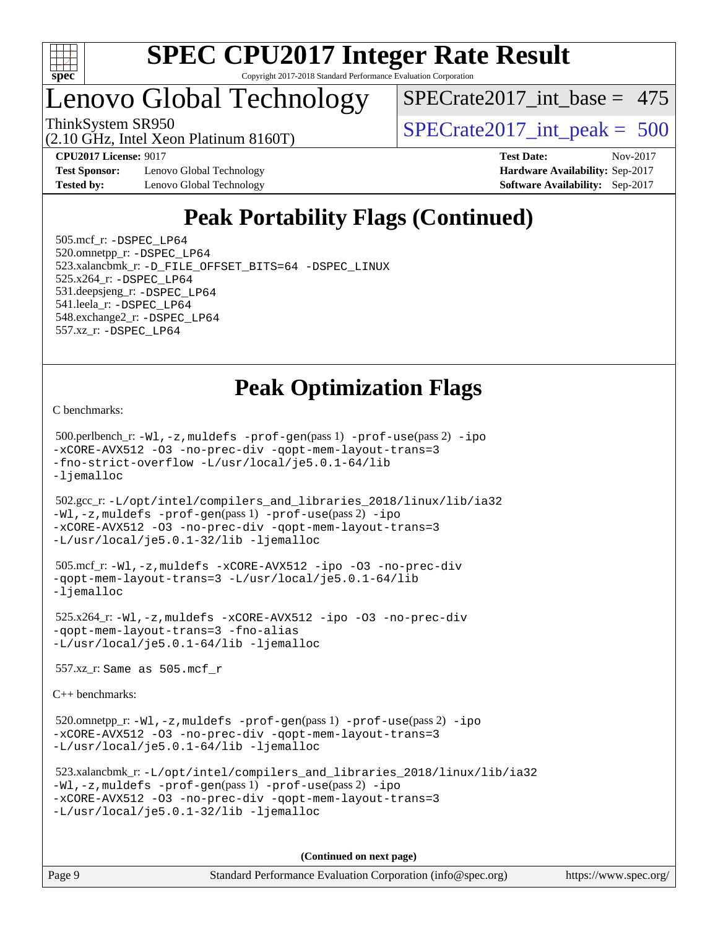

## Lenovo Global Technology

[SPECrate2017\\_int\\_base =](http://www.spec.org/auto/cpu2017/Docs/result-fields.html#SPECrate2017intbase) 475

ThinkSystem SR950<br>  $(2.10 \text{ GHz. Intel Yoon Plutium } 8160 \text{T})$   $\text{SPECrate} 2017\_int\_peak = 500$ 

**[Test Sponsor:](http://www.spec.org/auto/cpu2017/Docs/result-fields.html#TestSponsor)** Lenovo Global Technology **[Hardware Availability:](http://www.spec.org/auto/cpu2017/Docs/result-fields.html#HardwareAvailability)** Sep-2017 **[Tested by:](http://www.spec.org/auto/cpu2017/Docs/result-fields.html#Testedby)** Lenovo Global Technology **[Software Availability:](http://www.spec.org/auto/cpu2017/Docs/result-fields.html#SoftwareAvailability)** Sep-2017

(2.10 GHz, Intel Xeon Platinum 8160T)

**[CPU2017 License:](http://www.spec.org/auto/cpu2017/Docs/result-fields.html#CPU2017License)** 9017 **[Test Date:](http://www.spec.org/auto/cpu2017/Docs/result-fields.html#TestDate)** Nov-2017

## **[Peak Portability Flags \(Continued\)](http://www.spec.org/auto/cpu2017/Docs/result-fields.html#PeakPortabilityFlags)**

 505.mcf\_r: [-DSPEC\\_LP64](http://www.spec.org/cpu2017/results/res2017q4/cpu2017-20171212-01740.flags.html#suite_peakPORTABILITY505_mcf_r_DSPEC_LP64) 520.omnetpp\_r: [-DSPEC\\_LP64](http://www.spec.org/cpu2017/results/res2017q4/cpu2017-20171212-01740.flags.html#suite_peakPORTABILITY520_omnetpp_r_DSPEC_LP64) 523.xalancbmk\_r: [-D\\_FILE\\_OFFSET\\_BITS=64](http://www.spec.org/cpu2017/results/res2017q4/cpu2017-20171212-01740.flags.html#user_peakPORTABILITY523_xalancbmk_r_file_offset_bits_64_5ae949a99b284ddf4e95728d47cb0843d81b2eb0e18bdfe74bbf0f61d0b064f4bda2f10ea5eb90e1dcab0e84dbc592acfc5018bc955c18609f94ddb8d550002c) [-DSPEC\\_LINUX](http://www.spec.org/cpu2017/results/res2017q4/cpu2017-20171212-01740.flags.html#b523.xalancbmk_r_peakCXXPORTABILITY_DSPEC_LINUX) 525.x264\_r: [-DSPEC\\_LP64](http://www.spec.org/cpu2017/results/res2017q4/cpu2017-20171212-01740.flags.html#suite_peakPORTABILITY525_x264_r_DSPEC_LP64) 531.deepsjeng\_r: [-DSPEC\\_LP64](http://www.spec.org/cpu2017/results/res2017q4/cpu2017-20171212-01740.flags.html#suite_peakPORTABILITY531_deepsjeng_r_DSPEC_LP64) 541.leela\_r: [-DSPEC\\_LP64](http://www.spec.org/cpu2017/results/res2017q4/cpu2017-20171212-01740.flags.html#suite_peakPORTABILITY541_leela_r_DSPEC_LP64) 548.exchange2\_r: [-DSPEC\\_LP64](http://www.spec.org/cpu2017/results/res2017q4/cpu2017-20171212-01740.flags.html#suite_peakPORTABILITY548_exchange2_r_DSPEC_LP64) 557.xz\_r: [-DSPEC\\_LP64](http://www.spec.org/cpu2017/results/res2017q4/cpu2017-20171212-01740.flags.html#suite_peakPORTABILITY557_xz_r_DSPEC_LP64)

## **[Peak Optimization Flags](http://www.spec.org/auto/cpu2017/Docs/result-fields.html#PeakOptimizationFlags)**

[C benchmarks](http://www.spec.org/auto/cpu2017/Docs/result-fields.html#Cbenchmarks):

 500.perlbench\_r: [-Wl,-z,muldefs](http://www.spec.org/cpu2017/results/res2017q4/cpu2017-20171212-01740.flags.html#user_peakEXTRA_LDFLAGS500_perlbench_r_link_force_multiple1_b4cbdb97b34bdee9ceefcfe54f4c8ea74255f0b02a4b23e853cdb0e18eb4525ac79b5a88067c842dd0ee6996c24547a27a4b99331201badda8798ef8a743f577) [-prof-gen](http://www.spec.org/cpu2017/results/res2017q4/cpu2017-20171212-01740.flags.html#user_peakPASS1_CFLAGSPASS1_LDFLAGS500_perlbench_r_prof_gen_5aa4926d6013ddb2a31985c654b3eb18169fc0c6952a63635c234f711e6e63dd76e94ad52365559451ec499a2cdb89e4dc58ba4c67ef54ca681ffbe1461d6b36)(pass 1) [-prof-use](http://www.spec.org/cpu2017/results/res2017q4/cpu2017-20171212-01740.flags.html#user_peakPASS2_CFLAGSPASS2_LDFLAGS500_perlbench_r_prof_use_1a21ceae95f36a2b53c25747139a6c16ca95bd9def2a207b4f0849963b97e94f5260e30a0c64f4bb623698870e679ca08317ef8150905d41bd88c6f78df73f19)(pass 2) [-ipo](http://www.spec.org/cpu2017/results/res2017q4/cpu2017-20171212-01740.flags.html#user_peakPASS1_COPTIMIZEPASS2_COPTIMIZE500_perlbench_r_f-ipo) [-xCORE-AVX512](http://www.spec.org/cpu2017/results/res2017q4/cpu2017-20171212-01740.flags.html#user_peakPASS2_COPTIMIZE500_perlbench_r_f-xCORE-AVX512) [-O3](http://www.spec.org/cpu2017/results/res2017q4/cpu2017-20171212-01740.flags.html#user_peakPASS1_COPTIMIZEPASS2_COPTIMIZE500_perlbench_r_f-O3) [-no-prec-div](http://www.spec.org/cpu2017/results/res2017q4/cpu2017-20171212-01740.flags.html#user_peakPASS1_COPTIMIZEPASS2_COPTIMIZE500_perlbench_r_f-no-prec-div) [-qopt-mem-layout-trans=3](http://www.spec.org/cpu2017/results/res2017q4/cpu2017-20171212-01740.flags.html#user_peakPASS1_COPTIMIZEPASS2_COPTIMIZE500_perlbench_r_f-qopt-mem-layout-trans_de80db37974c74b1f0e20d883f0b675c88c3b01e9d123adea9b28688d64333345fb62bc4a798493513fdb68f60282f9a726aa07f478b2f7113531aecce732043) [-fno-strict-overflow](http://www.spec.org/cpu2017/results/res2017q4/cpu2017-20171212-01740.flags.html#user_peakEXTRA_OPTIMIZE500_perlbench_r_f-fno-strict-overflow) [-L/usr/local/je5.0.1-64/lib](http://www.spec.org/cpu2017/results/res2017q4/cpu2017-20171212-01740.flags.html#user_peakEXTRA_LIBS500_perlbench_r_jemalloc_link_path64_4b10a636b7bce113509b17f3bd0d6226c5fb2346b9178c2d0232c14f04ab830f976640479e5c33dc2bcbbdad86ecfb6634cbbd4418746f06f368b512fced5394) [-ljemalloc](http://www.spec.org/cpu2017/results/res2017q4/cpu2017-20171212-01740.flags.html#user_peakEXTRA_LIBS500_perlbench_r_jemalloc_link_lib_d1249b907c500fa1c0672f44f562e3d0f79738ae9e3c4a9c376d49f265a04b9c99b167ecedbf6711b3085be911c67ff61f150a17b3472be731631ba4d0471706)

 502.gcc\_r: [-L/opt/intel/compilers\\_and\\_libraries\\_2018/linux/lib/ia32](http://www.spec.org/cpu2017/results/res2017q4/cpu2017-20171212-01740.flags.html#user_peakCCLD502_gcc_r_Enable-32bit-runtime_af243bdb1d79e4c7a4f720bf8275e627de2ecd461de63307bc14cef0633fde3cd7bb2facb32dcc8be9566045fb55d40ce2b72b725f73827aa7833441b71b9343) [-Wl,-z,muldefs](http://www.spec.org/cpu2017/results/res2017q4/cpu2017-20171212-01740.flags.html#user_peakEXTRA_LDFLAGS502_gcc_r_link_force_multiple1_b4cbdb97b34bdee9ceefcfe54f4c8ea74255f0b02a4b23e853cdb0e18eb4525ac79b5a88067c842dd0ee6996c24547a27a4b99331201badda8798ef8a743f577) [-prof-gen](http://www.spec.org/cpu2017/results/res2017q4/cpu2017-20171212-01740.flags.html#user_peakPASS1_CFLAGSPASS1_LDFLAGS502_gcc_r_prof_gen_5aa4926d6013ddb2a31985c654b3eb18169fc0c6952a63635c234f711e6e63dd76e94ad52365559451ec499a2cdb89e4dc58ba4c67ef54ca681ffbe1461d6b36)(pass 1) [-prof-use](http://www.spec.org/cpu2017/results/res2017q4/cpu2017-20171212-01740.flags.html#user_peakPASS2_CFLAGSPASS2_LDFLAGS502_gcc_r_prof_use_1a21ceae95f36a2b53c25747139a6c16ca95bd9def2a207b4f0849963b97e94f5260e30a0c64f4bb623698870e679ca08317ef8150905d41bd88c6f78df73f19)(pass 2) [-ipo](http://www.spec.org/cpu2017/results/res2017q4/cpu2017-20171212-01740.flags.html#user_peakPASS1_COPTIMIZEPASS2_COPTIMIZE502_gcc_r_f-ipo) [-xCORE-AVX512](http://www.spec.org/cpu2017/results/res2017q4/cpu2017-20171212-01740.flags.html#user_peakPASS2_COPTIMIZE502_gcc_r_f-xCORE-AVX512) [-O3](http://www.spec.org/cpu2017/results/res2017q4/cpu2017-20171212-01740.flags.html#user_peakPASS1_COPTIMIZEPASS2_COPTIMIZE502_gcc_r_f-O3) [-no-prec-div](http://www.spec.org/cpu2017/results/res2017q4/cpu2017-20171212-01740.flags.html#user_peakPASS1_COPTIMIZEPASS2_COPTIMIZE502_gcc_r_f-no-prec-div) [-qopt-mem-layout-trans=3](http://www.spec.org/cpu2017/results/res2017q4/cpu2017-20171212-01740.flags.html#user_peakPASS1_COPTIMIZEPASS2_COPTIMIZE502_gcc_r_f-qopt-mem-layout-trans_de80db37974c74b1f0e20d883f0b675c88c3b01e9d123adea9b28688d64333345fb62bc4a798493513fdb68f60282f9a726aa07f478b2f7113531aecce732043) [-L/usr/local/je5.0.1-32/lib](http://www.spec.org/cpu2017/results/res2017q4/cpu2017-20171212-01740.flags.html#user_peakEXTRA_LIBS502_gcc_r_jemalloc_link_path32_e29f22e8e6c17053bbc6a0971f5a9c01a601a06bb1a59df2084b77a2fe0a2995b64fd4256feaeea39eeba3aae142e96e2b2b0a28974019c0c0c88139a84f900a) [-ljemalloc](http://www.spec.org/cpu2017/results/res2017q4/cpu2017-20171212-01740.flags.html#user_peakEXTRA_LIBS502_gcc_r_jemalloc_link_lib_d1249b907c500fa1c0672f44f562e3d0f79738ae9e3c4a9c376d49f265a04b9c99b167ecedbf6711b3085be911c67ff61f150a17b3472be731631ba4d0471706)

```
 505.mcf_r: -Wl,-z,muldefs -xCORE-AVX512 -ipo -O3 -no-prec-div
-qopt-mem-layout-trans=3 -L/usr/local/je5.0.1-64/lib
-ljemalloc
```
 525.x264\_r: [-Wl,-z,muldefs](http://www.spec.org/cpu2017/results/res2017q4/cpu2017-20171212-01740.flags.html#user_peakEXTRA_LDFLAGS525_x264_r_link_force_multiple1_b4cbdb97b34bdee9ceefcfe54f4c8ea74255f0b02a4b23e853cdb0e18eb4525ac79b5a88067c842dd0ee6996c24547a27a4b99331201badda8798ef8a743f577) [-xCORE-AVX512](http://www.spec.org/cpu2017/results/res2017q4/cpu2017-20171212-01740.flags.html#user_peakCOPTIMIZE525_x264_r_f-xCORE-AVX512) [-ipo](http://www.spec.org/cpu2017/results/res2017q4/cpu2017-20171212-01740.flags.html#user_peakCOPTIMIZE525_x264_r_f-ipo) [-O3](http://www.spec.org/cpu2017/results/res2017q4/cpu2017-20171212-01740.flags.html#user_peakCOPTIMIZE525_x264_r_f-O3) [-no-prec-div](http://www.spec.org/cpu2017/results/res2017q4/cpu2017-20171212-01740.flags.html#user_peakCOPTIMIZE525_x264_r_f-no-prec-div) [-qopt-mem-layout-trans=3](http://www.spec.org/cpu2017/results/res2017q4/cpu2017-20171212-01740.flags.html#user_peakCOPTIMIZE525_x264_r_f-qopt-mem-layout-trans_de80db37974c74b1f0e20d883f0b675c88c3b01e9d123adea9b28688d64333345fb62bc4a798493513fdb68f60282f9a726aa07f478b2f7113531aecce732043) [-fno-alias](http://www.spec.org/cpu2017/results/res2017q4/cpu2017-20171212-01740.flags.html#user_peakEXTRA_OPTIMIZE525_x264_r_f-no-alias_77dbac10d91cbfe898fbf4a29d1b29b694089caa623bdd1baccc9957d4edbe8d106c0b357e2748a65b44fc9e83d78098bb898077f3fe92f9faf24f7bd4a07ed7) [-L/usr/local/je5.0.1-64/lib](http://www.spec.org/cpu2017/results/res2017q4/cpu2017-20171212-01740.flags.html#user_peakEXTRA_LIBS525_x264_r_jemalloc_link_path64_4b10a636b7bce113509b17f3bd0d6226c5fb2346b9178c2d0232c14f04ab830f976640479e5c33dc2bcbbdad86ecfb6634cbbd4418746f06f368b512fced5394) [-ljemalloc](http://www.spec.org/cpu2017/results/res2017q4/cpu2017-20171212-01740.flags.html#user_peakEXTRA_LIBS525_x264_r_jemalloc_link_lib_d1249b907c500fa1c0672f44f562e3d0f79738ae9e3c4a9c376d49f265a04b9c99b167ecedbf6711b3085be911c67ff61f150a17b3472be731631ba4d0471706)

557.xz\_r: Same as 505.mcf\_r

[C++ benchmarks:](http://www.spec.org/auto/cpu2017/Docs/result-fields.html#CXXbenchmarks)

520.omnetpp\_r: $-Wl$ ,-z,muldefs -prof-qen(pass 1) [-prof-use](http://www.spec.org/cpu2017/results/res2017q4/cpu2017-20171212-01740.flags.html#user_peakPASS2_CXXFLAGSPASS2_LDFLAGS520_omnetpp_r_prof_use_1a21ceae95f36a2b53c25747139a6c16ca95bd9def2a207b4f0849963b97e94f5260e30a0c64f4bb623698870e679ca08317ef8150905d41bd88c6f78df73f19)(pass 2) [-ipo](http://www.spec.org/cpu2017/results/res2017q4/cpu2017-20171212-01740.flags.html#user_peakPASS1_CXXOPTIMIZEPASS2_CXXOPTIMIZE520_omnetpp_r_f-ipo) [-xCORE-AVX512](http://www.spec.org/cpu2017/results/res2017q4/cpu2017-20171212-01740.flags.html#user_peakPASS2_CXXOPTIMIZE520_omnetpp_r_f-xCORE-AVX512) [-O3](http://www.spec.org/cpu2017/results/res2017q4/cpu2017-20171212-01740.flags.html#user_peakPASS1_CXXOPTIMIZEPASS2_CXXOPTIMIZE520_omnetpp_r_f-O3) [-no-prec-div](http://www.spec.org/cpu2017/results/res2017q4/cpu2017-20171212-01740.flags.html#user_peakPASS1_CXXOPTIMIZEPASS2_CXXOPTIMIZE520_omnetpp_r_f-no-prec-div) [-qopt-mem-layout-trans=3](http://www.spec.org/cpu2017/results/res2017q4/cpu2017-20171212-01740.flags.html#user_peakPASS1_CXXOPTIMIZEPASS2_CXXOPTIMIZE520_omnetpp_r_f-qopt-mem-layout-trans_de80db37974c74b1f0e20d883f0b675c88c3b01e9d123adea9b28688d64333345fb62bc4a798493513fdb68f60282f9a726aa07f478b2f7113531aecce732043) [-L/usr/local/je5.0.1-64/lib](http://www.spec.org/cpu2017/results/res2017q4/cpu2017-20171212-01740.flags.html#user_peakEXTRA_LIBS520_omnetpp_r_jemalloc_link_path64_4b10a636b7bce113509b17f3bd0d6226c5fb2346b9178c2d0232c14f04ab830f976640479e5c33dc2bcbbdad86ecfb6634cbbd4418746f06f368b512fced5394) [-ljemalloc](http://www.spec.org/cpu2017/results/res2017q4/cpu2017-20171212-01740.flags.html#user_peakEXTRA_LIBS520_omnetpp_r_jemalloc_link_lib_d1249b907c500fa1c0672f44f562e3d0f79738ae9e3c4a9c376d49f265a04b9c99b167ecedbf6711b3085be911c67ff61f150a17b3472be731631ba4d0471706)

```
 523.xalancbmk_r: -L/opt/intel/compilers_and_libraries_2018/linux/lib/ia32
-Wl,-z,muldefs -prof-gen(pass 1) -prof-use(pass 2) -ipo
-xCORE-AVX512 -O3 -no-prec-div -qopt-mem-layout-trans=3
-L/usr/local/je5.0.1-32/lib -ljemalloc
```
**(Continued on next page)**